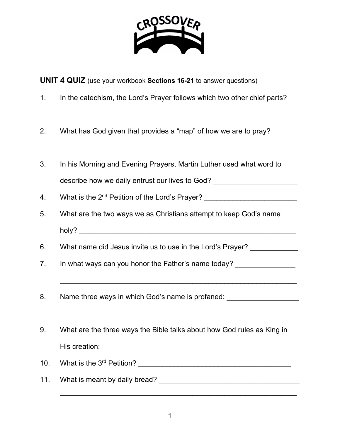

**UNIT 4 QUIZ** (use your workbook **Sections 16-21** to answer questions)

1. In the catechism, the Lord's Prayer follows which two other chief parts?

\_\_\_\_\_\_\_\_\_\_\_\_\_\_\_\_\_\_\_\_\_\_\_\_\_\_\_\_\_\_\_\_\_\_\_\_\_\_\_\_\_\_\_\_\_\_\_\_\_\_\_\_\_\_\_\_\_\_\_

2. What has God given that provides a "map" of how we are to pray?

\_\_\_\_\_\_\_\_\_\_\_\_\_\_\_\_\_\_\_\_\_\_\_\_

- 3. In his Morning and Evening Prayers, Martin Luther used what word to describe how we daily entrust our lives to God? \_\_\_\_\_\_\_\_\_\_\_\_\_\_\_\_\_\_\_\_\_\_\_\_\_\_\_\_\_\_\_\_
- 4. What is the 2<sup>nd</sup> Petition of the Lord's Prayer?
- 5. What are the two ways we as Christians attempt to keep God's name holy?
- 6. What name did Jesus invite us to use in the Lord's Prayer?

\_\_\_\_\_\_\_\_\_\_\_\_\_\_\_\_\_\_\_\_\_\_\_\_\_\_\_\_\_\_\_\_\_\_\_\_\_\_\_\_\_\_\_\_\_\_\_\_\_\_\_\_\_\_\_\_\_\_\_

\_\_\_\_\_\_\_\_\_\_\_\_\_\_\_\_\_\_\_\_\_\_\_\_\_\_\_\_\_\_\_\_\_\_\_\_\_\_\_\_\_\_\_\_\_\_\_\_\_\_\_\_\_\_\_\_\_\_\_

- 7. In what ways can you honor the Father's name today?
- 8. Name three ways in which God's name is profaned:
- 9. What are the three ways the Bible talks about how God rules as King in His creation: \_\_\_\_\_\_\_\_\_\_\_\_\_\_\_\_\_\_\_\_\_\_\_\_\_\_\_\_\_\_\_\_\_\_\_\_\_\_\_\_\_\_\_\_\_\_\_\_\_
- 10. What is the 3rd Petition? \_\_\_\_\_\_\_\_\_\_\_\_\_\_\_\_\_\_\_\_\_\_\_\_\_\_\_\_\_\_\_\_\_\_\_\_\_\_
- 11. What is meant by daily bread? \_\_\_\_\_\_\_\_\_\_\_\_\_\_\_\_\_\_\_\_\_\_\_\_\_\_\_\_\_\_\_\_\_\_\_

\_\_\_\_\_\_\_\_\_\_\_\_\_\_\_\_\_\_\_\_\_\_\_\_\_\_\_\_\_\_\_\_\_\_\_\_\_\_\_\_\_\_\_\_\_\_\_\_\_\_\_\_\_\_\_\_\_\_\_